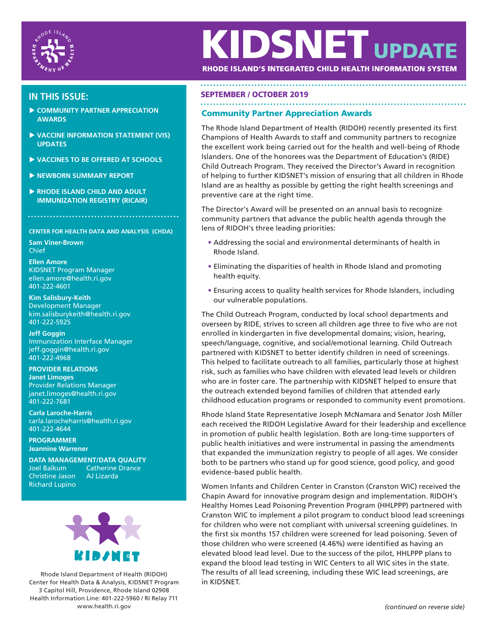

# **KIDSNET UPDAT**

RHODE ISLAND'S INTEGRATED CHILD HEALTH INFORMATION SYSTEM

- **COMMUNITY PARTNER APPRECIATION AWARDS**
- **VACCINE INFORMATION STATEMENT (VIS) UPDATES**
- **VACCINES TO BE OFFERED AT SCHOOLS**
- **NEWBORN SUMMARY REPORT**
- **RHODE ISLAND CHILD AND ADULT IMMUNIZATION REGISTRY (RICAIR)**

**CENTER FOR HEALTH DATA AND ANALYSIS (CHDA)**

**Sam Viner-Brown** Chief

**Ellen Amore** KIDSNET Program Manager ellen.amore@health.ri.gov 401-222-4601

**Kim Salisbury-Keith** Development Manager kim.salisburykeith@health.ri.gov 401-222-5925

**Jeff Goggin** Immunization Interface Manager jeff.goggin@health.ri.gov 401-222-4968

**PROVIDER RELATIONS Janet Limoges** Provider Relations Manager janet.limoges@health.ri.gov 401-222-7681

**Carla Laroche-Harris** carla.larocheharris@health.ri.gov 401-222-4644

**PROGRAMMER Jeannine Warrener**

**DATA MANAGEMENT/DATA QUALITY Catherine Drance** Christine Jason AJ Lizarda Richard Lupino



Rhode Island Department of Health (RIDOH) Center for Health Data & Analysis, KIDSNET Program 3 Capitol Hill, Providence, Rhode Island 02908 Health Information Line: 401-222-5960 / RI Relay 711 www.health.ri.gov *(continued on reverse side)*

## SEPTEMBER / OCTOBER 2019 **IN THIS ISSUE:**

#### Community Partner Appreciation Awards

The Rhode Island Department of Health (RIDOH) recently presented its first Champions of Health Awards to staff and community partners to recognize the excellent work being carried out for the health and well-being of Rhode Islanders. One of the honorees was the Department of Education's (RIDE) Child Outreach Program. They received the Director's Award in recognition of helping to further KIDSNET's mission of ensuring that all children in Rhode Island are as healthy as possible by getting the right health screenings and preventive care at the right time.

The Director's Award will be presented on an annual basis to recognize community partners that advance the public health agenda through the lens of RIDOH's three leading priorities:

- Addressing the social and environmental determinants of health in Rhode Island.
- Eliminating the disparities of health in Rhode Island and promoting health equity.
- Ensuring access to quality health services for Rhode Islanders, including our vulnerable populations.

The Child Outreach Program, conducted by local school departments and overseen by RIDE, strives to screen all children age three to five who are not enrolled in kindergarten in five developmental domains; vision, hearing, speech/language, cognitive, and social/emotional learning. Child Outreach partnered with KIDSNET to better identify children in need of screenings. This helped to facilitate outreach to all families, particularly those at highest risk, such as families who have children with elevated lead levels or children who are in foster care. The partnership with KIDSNET helped to ensure that the outreach extended beyond families of children that attended early childhood education programs or responded to community event promotions.

Rhode Island State Representative Joseph McNamara and Senator Josh Miller each received the RIDOH Legislative Award for their leadership and excellence in promotion of public health legislation. Both are long-time supporters of public health initiatives and were instrumental in passing the amendments that expanded the immunization registry to people of all ages. We consider both to be partners who stand up for good science, good policy, and good evidence-based public health.

Women Infants and Children Center in Cranston (Cranston WIC) received the Chapin Award for innovative program design and implementation. RIDOH's Healthy Homes Lead Poisoning Prevention Program (HHLPPP) partnered with Cranston WIC to implement a pilot program to conduct blood lead screenings for children who were not compliant with universal screening guidelines. In the first six months 157 children were screened for lead poisoning. Seven of those children who were screened (4.46%) were identified as having an elevated blood lead level. Due to the success of the pilot, HHLPPP plans to expand the blood lead testing in WIC Centers to all WIC sites in the state. The results of all lead screening, including these WIC lead screenings, are in KIDSNET.